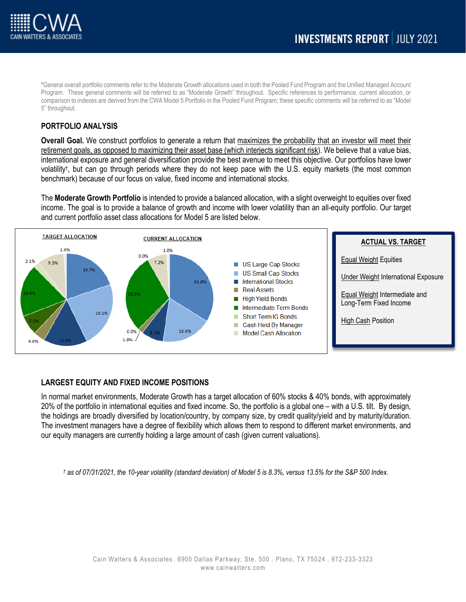

\*General overall portfolio comments refer to the Moderate Growth allocations used in both the Pooled Fund Program and the Unified Managed Account Program. These general comments will be referred to as "Moderate Growth" throughout. Specific references to performance, current allocation, or comparison to indexes are derived from the CWA Model 5 Portfolio in the Pooled Fund Program; these specific comments will be referred to as "Model 5" throughout.

## **PORTFOLIO ANALYSIS**

**Overall Goal.** We construct portfolios to generate a return that maximizes the probability that an investor will meet their retirement goals, as opposed to maximizing their asset base (which interjects significant risk). We believe that a value bias, international exposure and general diversification provide the best avenue to meet this objective. Our portfolios have lower volatility†, but can go through periods where they do not keep pace with the U.S. equity markets (the most common benchmark) because of our focus on value, fixed income and international stocks.

The **Moderate Growth Portfolio** is intended to provide a balanced allocation, with a slight overweight to equities over fixed income. The goal is to provide a balance of growth and income with lower volatility than an all-equity portfolio. Our target and current portfolio asset class allocations for Model 5 are listed below.



## **LARGEST EQUITY AND FIXED INCOME POSITIONS**

In normal market environments, Moderate Growth has a target allocation of 60% stocks & 40% bonds, with approximately 20% of the portfolio in international equities and fixed income. So, the portfolio is a global one – with a U.S. tilt. By design, the holdings are broadly diversified by location/country, by company size, by credit quality/yield and by maturity/duration. The investment managers have a degree of flexibility which allows them to respond to different market environments, and our equity managers are currently holding a large amount of cash (given current valuations).

*† as of 07/31/2021, the 10-year volatility (standard deviation) of Model 5 is 8.3%, versus 13.5% for the S&P 500 Index.*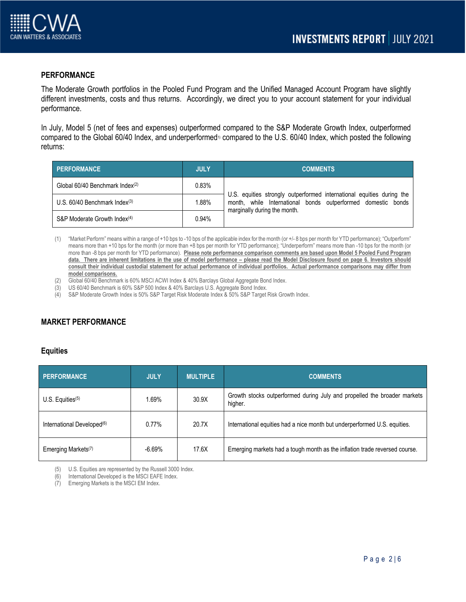

### **PERFORMANCE**

The Moderate Growth portfolios in the Pooled Fund Program and the Unified Managed Account Program have slightly different investments, costs and thus returns. Accordingly, we direct you to your account statement for your individual performance.

In July, Model 5 (net of fees and expenses) outperformed compared to the S&P Moderate Growth Index, outperformed compared to the Global 60/40 Index, and underperformed<sup>1)</sup> compared to the U.S. 60/40 Index, which posted the following returns:

| PERFORMANCE                                 | <b>JULY</b> | <b>COMMENTS</b>                                                                                                                                                       |
|---------------------------------------------|-------------|-----------------------------------------------------------------------------------------------------------------------------------------------------------------------|
| Global 60/40 Benchmark Index <sup>(2)</sup> | 0.83%       | U.S. equities strongly outperformed international equities during the<br>month, while International bonds outperformed domestic bonds<br>marginally during the month. |
| U.S. $60/40$ Benchmark Index $(3)$          | 1.88%       |                                                                                                                                                                       |
| S&P Moderate Growth Index <sup>(4)</sup>    | 0.94%       |                                                                                                                                                                       |

- (1) "Market Perform" means within a range of +10 bps to -10 bps of the applicable index for the month (or +/- 8 bps per month for YTD performance); "Outperform" means more than +10 bps for the month (or more than +8 bps per month for YTD performance); "Underperform" means more than -10 bps for the month (or more than -8 bps per month for YTD performance). **Please note performance comparison comments are based upon Model 5 Pooled Fund Program data. There are inherent limitations in the use of model performance – please read the Model Disclosure found on page 6. Investors should consult their individual custodial statement for actual performance of individual portfolios. Actual performance comparisons may differ from model comparisons.**
- Global 60/40 Benchmark is 60% MSCI ACWI Index & 40% Barclays Global Aggregate Bond Index.
- (3) US 60/40 Benchmark is 60% S&P 500 Index & 40% Barclays U.S. Aggregate Bond Index.
- (4) S&P Moderate Growth Index is 50% S&P Target Risk Moderate Index & 50% S&P Target Risk Growth Index.

## **MARKET PERFORMANCE**

#### **Equities**

| <b>PERFORMANCE</b>                     | <b>JULY</b> | <b>MULTIPLE</b> | <b>COMMENTS.</b>                                                                    |
|----------------------------------------|-------------|-----------------|-------------------------------------------------------------------------------------|
| $U.S.$ Equities $(5)$                  | 1.69%       | 30.9X           | Growth stocks outperformed during July and propelled the broader markets<br>higher. |
| International Developed <sup>(6)</sup> | $0.77\%$    | 20.7X           | International equities had a nice month but underperformed U.S. equities.           |
| Emerging Markets <sup>(7)</sup>        | $-6.69%$    | 17.6X           | Emerging markets had a tough month as the inflation trade reversed course.          |

(5) U.S. Equities are represented by the Russell 3000 Index.

(6) International Developed is the MSCI EAFE Index.

(7) Emerging Markets is the MSCI EM Index.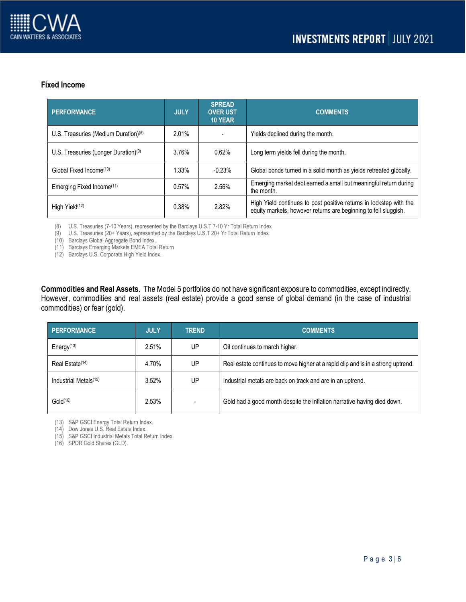

#### **Fixed Income**

| <b>PERFORMANCE</b>                               | <b>JULY</b> | <b>SPREAD</b><br><b>OVER UST</b><br>10 YEAR | <b>COMMENTS</b>                                                                                                                       |
|--------------------------------------------------|-------------|---------------------------------------------|---------------------------------------------------------------------------------------------------------------------------------------|
| U.S. Treasuries (Medium Duration) $(8)$          | 2.01%       |                                             | Yields declined during the month.                                                                                                     |
| U.S. Treasuries (Longer Duration) <sup>(9)</sup> | 3.76%       | 0.62%                                       | Long term yields fell during the month.                                                                                               |
| Global Fixed Income <sup>(10)</sup>              | 1.33%       | $-0.23%$                                    | Global bonds turned in a solid month as yields retreated globally.                                                                    |
| Emerging Fixed Income <sup>(11)</sup>            | 0.57%       | 2.56%                                       | Emerging market debt earned a small but meaningful return during<br>the month.                                                        |
| High Yield <sup>(12)</sup>                       | 0.38%       | 2.82%                                       | High Yield continues to post positive returns in lockstep with the<br>equity markets, however returns are beginning to fell sluggish. |

(8) U.S. Treasuries (7-10 Years), represented by the Barclays U.S.T 7-10 Yr Total Return Index

(9) U.S. Treasuries (20+ Years), represented by the Barclays U.S.T 20+ Yr Total Return Index

(10) Barclays Global Aggregate Bond Index.

(11) Barclays Emerging Markets EMEA Total Return

(12) Barclays U.S. Corporate High Yield Index.

**Commodities and Real Assets**. The Model 5 portfolios do not have significant exposure to commodities, except indirectly. However, commodities and real assets (real estate) provide a good sense of global demand (in the case of industrial commodities) or fear (gold).

| <b>PERFORMANCE</b>                | <b>JULY</b> | <b>TREND</b> | <b>COMMENTS</b>                                                                  |
|-----------------------------------|-------------|--------------|----------------------------------------------------------------------------------|
| Energy <sup>(13)</sup>            | 2.51%       | UP           | Oil continues to march higher.                                                   |
| Real Estate <sup>(14)</sup>       | 4.70%       | UP           | Real estate continues to move higher at a rapid clip and is in a strong uptrend. |
| Industrial Metals <sup>(15)</sup> | 3.52%       | UP           | Industrial metals are back on track and are in an uptrend.                       |
| Gold <sup>(16)</sup>              | 2.53%       |              | Gold had a good month despite the inflation narrative having died down.          |

(13) S&P GSCI Energy Total Return Index.

(14) Dow Jones U.S. Real Estate Index.

(15) S&P GSCI Industrial Metals Total Return Index.

(16) SPDR Gold Shares (GLD).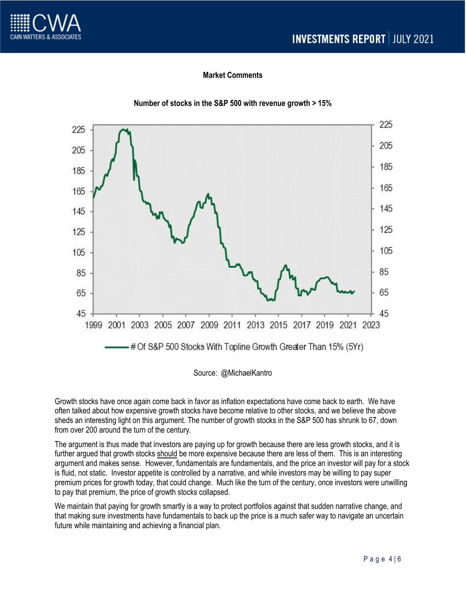

# **Market Comments**



### **Number of stocks in the S&P 500 with revenue growth > 15%**

Source: @MichaelKantro

Growth stocks have once again come back in favor as inflation expectations have come back to earth. We have often talked about how expensive growth stocks have become relative to other stocks, and we believe the above sheds an interesting light on this argument. The number of growth stocks in the S&P 500 has shrunk to 67, down from over 200 around the turn of the century.

The argument is thus made that investors are paying up for growth because there are less growth stocks, and it is further argued that growth stocks should be more expensive because there are less of them. This is an interesting argument and makes sense. However, fundamentals are fundamentals, and the price an investor will pay for a stock is fluid, not static. Investor appetite is controlled by a narrative, and while investors may be willing to pay super premium prices for growth today, that could change. Much like the turn of the century, once investors were unwilling to pay that premium, the price of growth stocks collapsed.

We maintain that paying for growth smartly is a way to protect portfolios against that sudden narrative change, and that making sure investments have fundamentals to back up the price is a much safer way to navigate an uncertain future while maintaining and achieving a financial plan.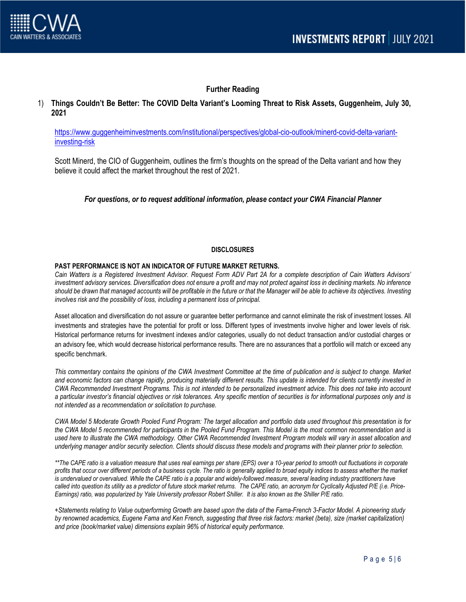

## **Further Reading**

### 1) **Things Couldn't Be Better: The COVID Delta Variant's Looming Threat to Risk Assets, Guggenheim, July 30, 2021**

[https://www.guggenheiminvestments.com/institutional/perspectives/global-cio-outlook/minerd-covid-delta-variant](https://www.guggenheiminvestments.com/institutional/perspectives/global-cio-outlook/minerd-covid-delta-variant-investing-risk)[investing-risk](https://www.guggenheiminvestments.com/institutional/perspectives/global-cio-outlook/minerd-covid-delta-variant-investing-risk)

Scott Minerd, the CIO of Guggenheim, outlines the firm's thoughts on the spread of the Delta variant and how they believe it could affect the market throughout the rest of 2021.

*For questions, or to request additional information, please contact your CWA Financial Planner*

#### **DISCLOSURES**

#### **PAST PERFORMANCE IS NOT AN INDICATOR OF FUTURE MARKET RETURNS.**

*Cain Watters is a Registered Investment Advisor. Request Form ADV Part 2A for a complete description of Cain Watters Advisors' investment advisory services. Diversification does not ensure a profit and may not protect against loss in declining markets. No inference should be drawn that managed accounts will be profitable in the future or that the Manager will be able to achieve its objectives. Investing involves risk and the possibility of loss, including a permanent loss of principal.*

Asset allocation and diversification do not assure or guarantee better performance and cannot eliminate the risk of investment losses. All investments and strategies have the potential for profit or loss. Different types of investments involve higher and lower levels of risk. Historical performance returns for investment indexes and/or categories, usually do not deduct transaction and/or custodial charges or an advisory fee, which would decrease historical performance results. There are no assurances that a portfolio will match or exceed any specific benchmark.

*This commentary contains the opinions of the CWA Investment Committee at the time of publication and is subject to change. Market and economic factors can change rapidly, producing materially different results. This update is intended for clients currently invested in CWA Recommended Investment Programs. This is not intended to be personalized investment advice. This does not take into account a particular investor's financial objectives or risk tolerances. Any specific mention of securities is for informational purposes only and is not intended as a recommendation or solicitation to purchase.*

*CWA Model 5 Moderate Growth Pooled Fund Program: The target allocation and portfolio data used throughout this presentation is for the CWA Model 5 recommended for participants in the Pooled Fund Program. This Model is the most common recommendation and is*  used here to illustrate the CWA methodology. Other CWA Recommended Investment Program models will vary in asset allocation and *underlying manager and/or security selection. Clients should discuss these models and programs with their planner prior to selection.*

*\*\*The CAPE ratio is a valuation measure that uses real earnings per share (EPS) over a 10-year period to smooth out fluctuations in corporate profits that occur over different periods of a business cycle. The ratio is generally applied to broad equity indices to assess whether the market*  is undervalued or overvalued. While the CAPE ratio is a popular and widely-followed measure, several leading industry practitioners have *called into question its utility as a predictor of future stock market returns. The CAPE ratio, an acronym for Cyclically Adjusted P/E (i.e. Price-Earnings) ratio, was popularized by Yale University professor Robert Shiller. It is also known as the Shiller P/E ratio.*

*+Statements relating to Value outperforming Growth are based upon the data of the Fama-French 3-Factor Model. A pioneering study by renowned academics, Eugene Fama and Ken French, suggesting that three risk factors: market (beta), size (market capitalization) and price (book/market value) dimensions explain 96% of historical equity performance.*